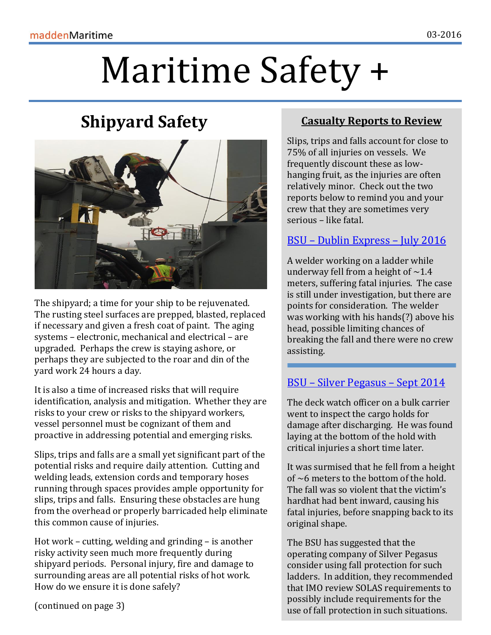# Maritime Safety +

# **Shipyard Safety**



The shipyard; a time for your ship to be rejuvenated. The rusting steel surfaces are prepped, blasted, replaced if necessary and given a fresh coat of paint. The aging systems – electronic, mechanical and electrical – are upgraded. Perhaps the crew is staying ashore, or perhaps they are subjected to the roar and din of the yard work 24 hours a day.

It is also a time of increased risks that will require identification, analysis and mitigation. Whether they are risks to your crew or risks to the shipyard workers, vessel personnel must be cognizant of them and proactive in addressing potential and emerging risks.

Slips, trips and falls are a small yet significant part of the potential risks and require daily attention. Cutting and welding leads, extension cords and temporary hoses running through spaces provides ample opportunity for slips, trips and falls. Ensuring these obstacles are hung from the overhead or properly barricaded help eliminate this common cause of injuries.

Hot work – cutting, welding and grinding – is another risky activity seen much more frequently during shipyard periods. Personal injury, fire and damage to surrounding areas are all potential risks of hot work. How do we ensure it is done safely?

(continued on page 3)

#### **Casualty Reports to Review**

Slips, trips and falls account for close to 75% of all injuries on vessels. We frequently discount these as lowhanging fruit, as the injuries are often relatively minor. Check out the two reports below to remind you and your crew that they are sometimes very serious – like fatal.

#### BSU – [Dublin Express](https://maddenmaritime.files.wordpress.com/2016/07/bsu-inverstigation-report-on-fatal-accident-on-board-the-cmv-dublin-express-2016_07.pdf) – July 2016

A welder working on a ladder while underway fell from a height of  $\sim$ 1.4 meters, suffering fatal injuries. The case is still under investigation, but there are points for consideration. The welder was working with his hands(?) above his head, possible limiting chances of breaking the fall and there were no crew assisting.

### BSU – [Silver Pegasus](https://maddenmaritime.files.wordpress.com/2016/07/bsu-investigation_report-on-fatal-accident-on-board-the-mv-silver-pigasus-2016_07-1.pdf) – Sept 2014

The deck watch officer on a bulk carrier went to inspect the cargo holds for damage after discharging. He was found laying at the bottom of the hold with critical injuries a short time later.

It was surmised that he fell from a height of  $\sim$ 6 meters to the bottom of the hold. The fall was so violent that the victim's hardhat had bent inward, causing his fatal injuries, before snapping back to its original shape.

The BSU has suggested that the operating company of Silver Pegasus consider using fall protection for such ladders. In addition, they recommended that IMO review SOLAS requirements to possibly include requirements for the use of fall protection in such situations.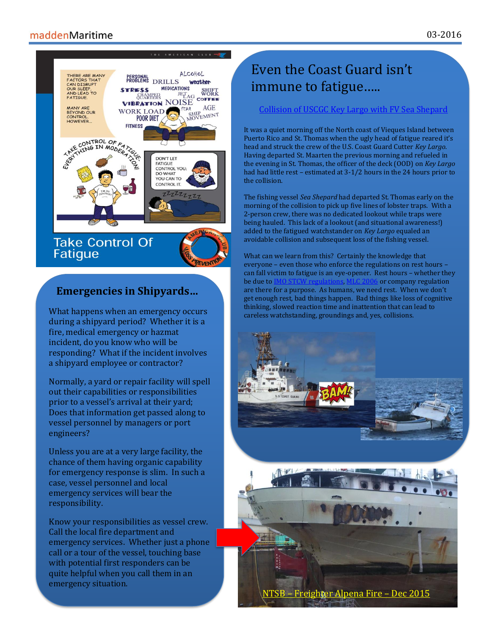#### maddenMaritime



#### **Emergencies in Shipyards…**

What happens when an emergency occurs during a shipyard period? Whether it is a fire, medical emergency or hazmat incident, do you know who will be responding? What if the incident involves a shipyard employee or contractor?

Normally, a yard or repair facility will spell out their capabilities or responsibilities prior to a vessel's arrival at their yard; Does that information get passed along to vessel personnel by managers or port engineers?

Unless you are at a very large facility, the chance of them having organic capability for emergency response is slim. In such a case, vessel personnel and local emergency services will bear the responsibility.

Know your responsibilities as vessel crew. Call the local fire department and emergency services. Whether just a phone call or a tour of the vessel, touching base with potential first responders can be quite helpful when you call them in an emergency situation.

# Even the Coast Guard isn't immune to fatigue…..

#### [Collision of USCGC Key Largo with FV Sea Shepard](https://maddenmaritime.files.wordpress.com/2016/07/ntsb-mab-on-the-collision-between-uscg-cuttler-key-largo-an-fishing-vessel-2016_07-1.pdf)

It was a quiet morning off the North coast of Vieques Island between Puerto Rico and St. Thomas when the ugly head of fatigue reared it's head and struck the crew of the U.S. Coast Guard Cutter *Key Largo*. Having departed St. Maarten the previous morning and refueled in the evening in St. Thomas, the officer of the deck (OOD) on *Key Largo*  had had little rest – estimated at 3-1/2 hours in the 24 hours prior to the collision.

The fishing vessel *Sea Shepard* had departed St. Thomas early on the morning of the collision to pick up five lines of lobster traps. With a 2-person crew, there was no dedicated lookout while traps were being hauled. This lack of a lookout (and situational awareness!) added to the fatigued watchstander on *Key Largo* equaled an avoidable collision and subsequent loss of the fishing vessel.

What can we learn from this? Certainly the knowledge that everyone – even those who enforce the regulations on rest hours – can fall victim to fatigue is an eye-opener. Rest hours – whether they be due to IMO STCW [regulations,](http://www.imo.org/en/MediaCentre/pressbriefings/pages/stcw-hours-of-rest.aspx#.V5Lj7pMrJsM) [MLC 2006](https://maddenmaritime.files.wordpress.com/2016/07/hours-of-work-and-hours-of-rest.pdf) or company regulation are there for a purpose. As humans, we need rest. When we don't get enough rest, bad things happen. Bad things like loss of cognitive thinking, slowed reaction time and inattention that can lead to careless watchstanding, groundings and, yes, collisions.